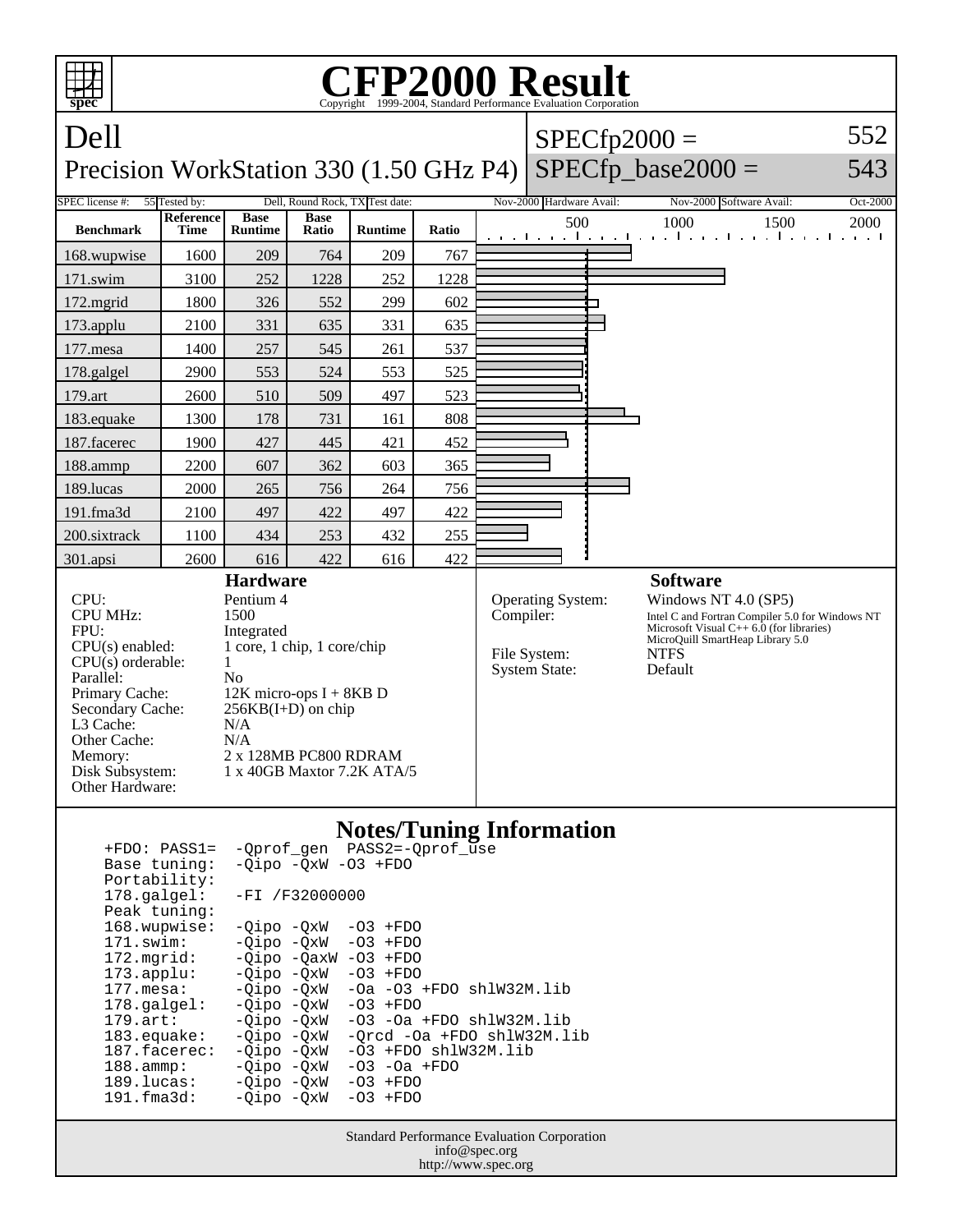| ┯<br>spec                                                                                                                                                                                                                                                                                                                                                                                   | <b>CFP2000 Result</b><br>Copyright ©1999-2004, Standard Performance Evaluation Cornoration                                                                                                                      |                               |                      |                |           |                                                           |                                                                                                                                                                                      |                                                                   |            |
|---------------------------------------------------------------------------------------------------------------------------------------------------------------------------------------------------------------------------------------------------------------------------------------------------------------------------------------------------------------------------------------------|-----------------------------------------------------------------------------------------------------------------------------------------------------------------------------------------------------------------|-------------------------------|----------------------|----------------|-----------|-----------------------------------------------------------|--------------------------------------------------------------------------------------------------------------------------------------------------------------------------------------|-------------------------------------------------------------------|------------|
| Dell<br>Precision WorkStation 330 (1.50 GHz P4)                                                                                                                                                                                                                                                                                                                                             |                                                                                                                                                                                                                 |                               |                      |                |           |                                                           |                                                                                                                                                                                      | $SPECfp2000 =$<br>$SPECfp\_base2000 =$                            | 552<br>543 |
| SPEC license #:<br>55 Tested by:<br>Dell, Round Rock, TX Test date:<br>Nov-2000 Hardware Avail:<br>Oct-2000<br>Nov-2000 Software Avail:                                                                                                                                                                                                                                                     |                                                                                                                                                                                                                 |                               |                      |                |           |                                                           |                                                                                                                                                                                      |                                                                   |            |
| <b>Benchmark</b>                                                                                                                                                                                                                                                                                                                                                                            | Reference<br>Time                                                                                                                                                                                               | <b>Base</b><br><b>Runtime</b> | <b>Base</b><br>Ratio | <b>Runtime</b> | Ratio     |                                                           | 500                                                                                                                                                                                  | 1000<br>1500<br>التعبيلية والمعتبات والمتحارث والمتحارث والمتحارث | 2000       |
| 168.wupwise                                                                                                                                                                                                                                                                                                                                                                                 | 1600                                                                                                                                                                                                            | 209                           | 764                  | 209            | 767       |                                                           |                                                                                                                                                                                      |                                                                   |            |
| $171$ .swim                                                                                                                                                                                                                                                                                                                                                                                 | 3100                                                                                                                                                                                                            | 252                           | 1228                 | 252            | 1228      |                                                           |                                                                                                                                                                                      |                                                                   |            |
| 172.mgrid                                                                                                                                                                                                                                                                                                                                                                                   | 1800                                                                                                                                                                                                            | 326                           | 552                  | 299            | 602       |                                                           |                                                                                                                                                                                      |                                                                   |            |
| 173.applu                                                                                                                                                                                                                                                                                                                                                                                   | 2100                                                                                                                                                                                                            | 331                           | 635                  | 331            | 635       |                                                           |                                                                                                                                                                                      |                                                                   |            |
| 177.mesa                                                                                                                                                                                                                                                                                                                                                                                    | 1400                                                                                                                                                                                                            | 257                           | 545                  | 261            | 537       |                                                           |                                                                                                                                                                                      |                                                                   |            |
| 178.galgel                                                                                                                                                                                                                                                                                                                                                                                  | 2900                                                                                                                                                                                                            | 553                           | 524                  | 553            | 525       |                                                           |                                                                                                                                                                                      |                                                                   |            |
| 179.art                                                                                                                                                                                                                                                                                                                                                                                     | 2600                                                                                                                                                                                                            | 510                           | 509                  | 497            | 523       |                                                           |                                                                                                                                                                                      |                                                                   |            |
| 183.equake                                                                                                                                                                                                                                                                                                                                                                                  | 1300                                                                                                                                                                                                            | 178                           | 731                  | 161            | 808       |                                                           |                                                                                                                                                                                      |                                                                   |            |
| 187.facerec                                                                                                                                                                                                                                                                                                                                                                                 | 1900                                                                                                                                                                                                            | 427                           | 445                  | 421            | 452       |                                                           |                                                                                                                                                                                      |                                                                   |            |
| 188.ammp                                                                                                                                                                                                                                                                                                                                                                                    | 2200                                                                                                                                                                                                            | 607                           | 362                  | 603            | 365       |                                                           |                                                                                                                                                                                      |                                                                   |            |
| 189.lucas                                                                                                                                                                                                                                                                                                                                                                                   | 2000                                                                                                                                                                                                            | 265                           | 756                  | 264            | 756       |                                                           |                                                                                                                                                                                      |                                                                   |            |
| 191.fma3d                                                                                                                                                                                                                                                                                                                                                                                   | 2100                                                                                                                                                                                                            | 497                           | 422                  | 497            | 422       |                                                           |                                                                                                                                                                                      |                                                                   |            |
| 200.sixtrack                                                                                                                                                                                                                                                                                                                                                                                | 1100                                                                                                                                                                                                            | 434                           | 253                  | 432            | 255       |                                                           |                                                                                                                                                                                      |                                                                   |            |
| 301.apsi                                                                                                                                                                                                                                                                                                                                                                                    | 2600                                                                                                                                                                                                            | 616                           | 422                  | 616            | 422       |                                                           |                                                                                                                                                                                      |                                                                   |            |
| <b>Hardware</b>                                                                                                                                                                                                                                                                                                                                                                             |                                                                                                                                                                                                                 |                               |                      |                |           |                                                           |                                                                                                                                                                                      | <b>Software</b>                                                   |            |
| CPU:<br><b>CPU MHz:</b><br>FPU:<br>$CPU(s)$ enabled:<br>$CPU(s)$ orderable:<br>Parallel:<br>Primary Cache:<br>Secondary Cache:<br>L3 Cache:<br>Other Cache:<br>Memory:<br>Disk Subsystem:<br>Other Hardware:                                                                                                                                                                                | Pentium 4<br>1500<br>Integrated<br>1 core, 1 chip, 1 core/chip<br>1<br>N <sub>0</sub><br>$12K$ micro-ops I + 8KB D<br>$256KB(I+D)$ on chip<br>N/A<br>N/A<br>2 x 128MB PC800 RDRAM<br>1 x 40GB Maxtor 7.2K ATA/5 |                               |                      |                | Compiler: | Operating System:<br>File System:<br><b>System State:</b> | Windows NT $4.0$ (SP5)<br>Intel C and Fortran Compiler 5.0 for Windows NT<br>Microsoft Visual $C++6.0$ (for libraries)<br>MicroQuill SmartHeap Library 5.0<br><b>NTFS</b><br>Default |                                                                   |            |
| <b>Notes/Tuning Information</b><br>-Qprof_gen PASS2=-Qprof_use<br>$+FDO: PASS1=$<br>$-Oipo$ $-OxW$ $-O3$ $+FDO$<br>Base tuning:<br>Portability:<br>178.galgel:<br>-FI /F32000000<br>Peak tuning:<br>168.wupwise:<br>-Qipo -QxW<br>$-03$ +FDO<br>171.swim:<br>-Qipo -QxW<br>$-03$ +FDO<br>172.mgrid:<br>$-Qipo -QaxW -O3 + FDO$<br>$172 \text{ and } \text{}$<br>$n_0 - Nv$ M<br>$-03 + FDA$ |                                                                                                                                                                                                                 |                               |                      |                |           |                                                           |                                                                                                                                                                                      |                                                                   |            |

173.applu: -Qipo -QxW -O3 +FDO<br>177.mesa: -Qipo -QxW -Oa -O3 ·  $-Qipo -QxW$  -Oa -O3 +FDO shlW32M.lib<br>-Qipo -QxW -O3 +FDO 178.galgel: -Qipo -QxW<br>179.art: -Qipo -QxW

179.art: -Qipo -QxW -O3 -Oa +FDO shlW32M.lib<br>183.equake: -Qipo -QxW -Qrcd -Oa +FDO shlW32M.li<br>187.facerec: -Qipo -QxW -O3 +FDO shlW32M.lib -Qrcd -Oa +FDO shlW32M.lib

187.facerec:  $-Qipo -QxW -O3 + FDO shlW32M.lib$ <br>188.ammp:  $-Qipo -QxW -O3 -Oa + FDO$ <br>189.lucas:  $-Qipo -QxW -O3 + FDO$ -03 -0a +FDO<br>-03 +FDO

 189.lucas: -Qipo -QxW -O3 +FDO 191.fma3d: -Qipo -QxW -O3 +FDO

> Standard Performance Evaluation Corporation info@spec.org http://www.spec.org